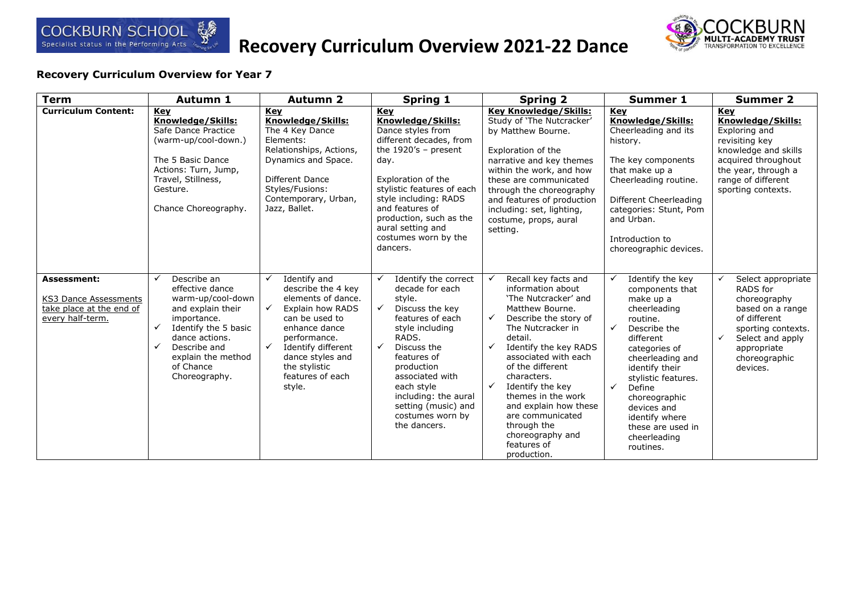

# **Recovery Curriculum Overview 2021-22 Dance**



| <b>Term</b>                                                                          | Autumn 1                                                                                                                                                                                                                        | <b>Autumn 2</b>                                                                                                                                                                                                                                                          | <b>Spring 1</b>                                                                                                                                                                                                                                                                                                           | <b>Spring 2</b>                                                                                                                                                                                                                                                                                                                                                                                                     | <b>Summer 1</b>                                                                                                                                                                                                                                                                                                                 | <b>Summer 2</b>                                                                                                                                                                          |
|--------------------------------------------------------------------------------------|---------------------------------------------------------------------------------------------------------------------------------------------------------------------------------------------------------------------------------|--------------------------------------------------------------------------------------------------------------------------------------------------------------------------------------------------------------------------------------------------------------------------|---------------------------------------------------------------------------------------------------------------------------------------------------------------------------------------------------------------------------------------------------------------------------------------------------------------------------|---------------------------------------------------------------------------------------------------------------------------------------------------------------------------------------------------------------------------------------------------------------------------------------------------------------------------------------------------------------------------------------------------------------------|---------------------------------------------------------------------------------------------------------------------------------------------------------------------------------------------------------------------------------------------------------------------------------------------------------------------------------|------------------------------------------------------------------------------------------------------------------------------------------------------------------------------------------|
| <b>Curriculum Content:</b>                                                           | Key<br>Knowledge/Skills:<br>Safe Dance Practice<br>(warm-up/cool-down.)<br>The 5 Basic Dance<br>Actions: Turn, Jump,<br>Travel, Stillness,<br>Gesture.<br>Chance Choreography.                                                  | <b>Key</b><br>Knowledge/Skills:<br>The 4 Key Dance<br>Elements:<br>Relationships, Actions,<br>Dynamics and Space.<br>Different Dance<br>Styles/Fusions:<br>Contemporary, Urban,<br>Jazz, Ballet.                                                                         | Key<br>Knowledge/Skills:<br>Dance styles from<br>different decades, from<br>the $1920's$ - present<br>day.<br>Exploration of the<br>stylistic features of each<br>style including: RADS<br>and features of<br>production, such as the<br>aural setting and<br>costumes worn by the<br>dancers.                            | <b>Key Knowledge/Skills:</b><br>Study of 'The Nutcracker'<br>by Matthew Bourne.<br>Exploration of the<br>narrative and key themes<br>within the work, and how<br>these are communicated<br>through the choreography<br>and features of production<br>including: set, lighting,<br>costume, props, aural<br>setting.                                                                                                 | Key<br>Knowledge/Skills:<br>Cheerleading and its<br>history.<br>The key components<br>that make up a<br>Cheerleading routine.<br>Different Cheerleading<br>categories: Stunt, Pom<br>and Urban.<br>Introduction to<br>choreographic devices.                                                                                    | Key<br>Knowledge/Skills:<br>Exploring and<br>revisiting key<br>knowledge and skills<br>acquired throughout<br>the year, through a<br>range of different<br>sporting contexts.            |
| Assessment:<br>KS3 Dance Assessments<br>take place at the end of<br>every half-term. | Describe an<br>✓<br>effective dance<br>warm-up/cool-down<br>and explain their<br>importance.<br>✓<br>Identify the 5 basic<br>dance actions.<br>$\checkmark$<br>Describe and<br>explain the method<br>of Chance<br>Choreography. | Identify and<br>$\checkmark$<br>describe the 4 key<br>elements of dance.<br>$\checkmark$<br>Explain how RADS<br>can be used to<br>enhance dance<br>performance.<br>$\checkmark$<br>Identify different<br>dance styles and<br>the stylistic<br>features of each<br>style. | Identify the correct<br>✓<br>decade for each<br>style.<br>$\checkmark$<br>Discuss the key<br>features of each<br>style including<br>RADS.<br>$\checkmark$<br>Discuss the<br>features of<br>production<br>associated with<br>each style<br>including: the aural<br>setting (music) and<br>costumes worn by<br>the dancers. | Recall key facts and<br>information about<br>'The Nutcracker' and<br>Matthew Bourne.<br>✓<br>Describe the story of<br>The Nutcracker in<br>detail.<br>✓<br>Identify the key RADS<br>associated with each<br>of the different<br>characters.<br>$\checkmark$<br>Identify the key<br>themes in the work<br>and explain how these<br>are communicated<br>through the<br>choreography and<br>features of<br>production. | Identify the key<br>✓<br>components that<br>make up a<br>cheerleading<br>routine.<br>✓<br>Describe the<br>different<br>categories of<br>cheerleading and<br>identify their<br>stylistic features.<br>$\checkmark$<br>Define<br>choreographic<br>devices and<br>identify where<br>these are used in<br>cheerleading<br>routines. | Select appropriate<br>RADS for<br>choreography<br>based on a range<br>of different<br>sporting contexts.<br>Select and apply<br>$\checkmark$<br>appropriate<br>choreographic<br>devices. |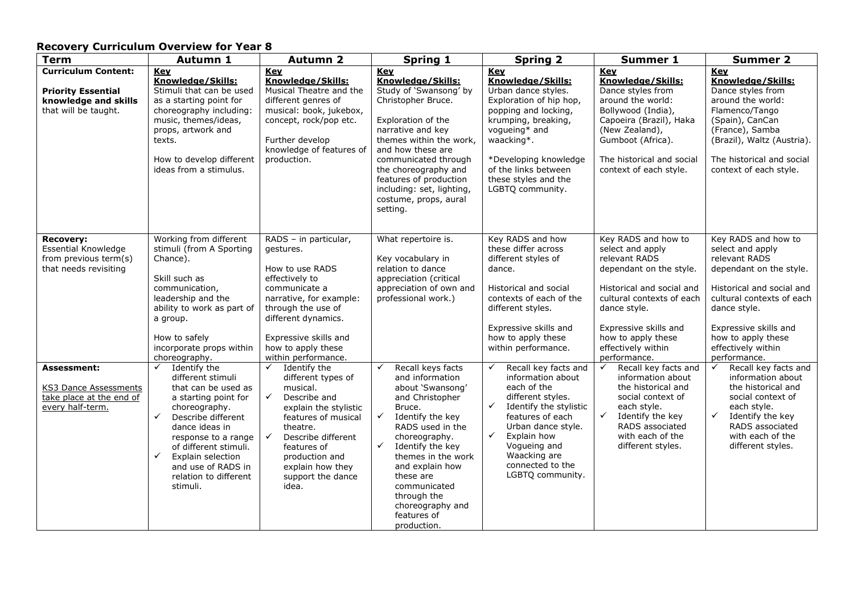| <b>Term</b>                                                                                             | Autumn 1                                                                                                                                                                                                                                                                                                                  | <b>Autumn 2</b>                                                                                                                                                                                                                                                                     | <b>Spring 1</b>                                                                                                                                                                                                                                                                                                                                | <b>Spring 2</b>                                                                                                                                                                                                                                                          | <b>Summer 1</b>                                                                                                                                                                                                                                    | <b>Summer 2</b>                                                                                                                                                                                                                                    |
|---------------------------------------------------------------------------------------------------------|---------------------------------------------------------------------------------------------------------------------------------------------------------------------------------------------------------------------------------------------------------------------------------------------------------------------------|-------------------------------------------------------------------------------------------------------------------------------------------------------------------------------------------------------------------------------------------------------------------------------------|------------------------------------------------------------------------------------------------------------------------------------------------------------------------------------------------------------------------------------------------------------------------------------------------------------------------------------------------|--------------------------------------------------------------------------------------------------------------------------------------------------------------------------------------------------------------------------------------------------------------------------|----------------------------------------------------------------------------------------------------------------------------------------------------------------------------------------------------------------------------------------------------|----------------------------------------------------------------------------------------------------------------------------------------------------------------------------------------------------------------------------------------------------|
| <b>Curriculum Content:</b><br><b>Priority Essential</b><br>knowledge and skills<br>that will be taught. | Key<br>Knowledge/Skills:<br>Stimuli that can be used<br>as a starting point for<br>choreography including:<br>music, themes/ideas,<br>props, artwork and<br>texts.<br>How to develop different<br>ideas from a stimulus.                                                                                                  | <u>Kev</u><br>Knowledge/Skills:<br>Musical Theatre and the<br>different genres of<br>musical: book, jukebox,<br>concept, rock/pop etc.<br>Further develop<br>knowledge of features of<br>production.                                                                                | Key<br>Knowledge/Skills:<br>Study of 'Swansong' by<br>Christopher Bruce.<br>Exploration of the<br>narrative and key<br>themes within the work,<br>and how these are<br>communicated through<br>the choreography and<br>features of production<br>including: set, lighting,<br>costume, props, aural<br>setting.                                | Key<br>Knowledge/Skills:<br>Urban dance styles.<br>Exploration of hip hop,<br>popping and locking,<br>krumping, breaking,<br>vogueing* and<br>waacking*.<br>*Developing knowledge<br>of the links between<br>these styles and the<br>LGBTQ community.                    | Key<br>Knowledge/Skills:<br>Dance styles from<br>around the world:<br>Bollywood (India),<br>Capoeira (Brazil), Haka<br>(New Zealand),<br>Gumboot (Africa).<br>The historical and social<br>context of each style.                                  | Key<br>Knowledge/Skills:<br>Dance styles from<br>around the world:<br>Flamenco/Tango<br>(Spain), CanCan<br>(France), Samba<br>(Brazil), Waltz (Austria).<br>The historical and social<br>context of each style.                                    |
| <b>Recovery:</b><br><b>Essential Knowledge</b><br>from previous term(s)<br>that needs revisiting        | Working from different<br>stimuli (from A Sporting<br>Chance).<br>Skill such as<br>communication,<br>leadership and the<br>ability to work as part of<br>a group.<br>How to safely<br>incorporate props within<br>choreography.                                                                                           | RADS - in particular,<br>gestures.<br>How to use RADS<br>effectively to<br>communicate a<br>narrative, for example:<br>through the use of<br>different dynamics.<br>Expressive skills and<br>how to apply these<br>within performance.                                              | What repertoire is.<br>Key vocabulary in<br>relation to dance<br>appreciation (critical<br>appreciation of own and<br>professional work.)                                                                                                                                                                                                      | Key RADS and how<br>these differ across<br>different styles of<br>dance.<br>Historical and social<br>contexts of each of the<br>different styles.<br>Expressive skills and<br>how to apply these<br>within performance.                                                  | Key RADS and how to<br>select and apply<br>relevant RADS<br>dependant on the style.<br>Historical and social and<br>cultural contexts of each<br>dance style.<br>Expressive skills and<br>how to apply these<br>effectively within<br>performance. | Key RADS and how to<br>select and apply<br>relevant RADS<br>dependant on the style.<br>Historical and social and<br>cultural contexts of each<br>dance style.<br>Expressive skills and<br>how to apply these<br>effectively within<br>performance. |
| <b>Assessment:</b><br>KS3 Dance Assessments<br>take place at the end of<br>every half-term.             | $\checkmark$<br>Identify the<br>different stimuli<br>that can be used as<br>a starting point for<br>choreography.<br>Describe different<br>$\checkmark$<br>dance ideas in<br>response to a range<br>of different stimuli.<br>$\checkmark$<br>Explain selection<br>and use of RADS in<br>relation to different<br>stimuli. | $\checkmark$<br>Identify the<br>different types of<br>musical.<br>$\checkmark$<br>Describe and<br>explain the stylistic<br>features of musical<br>theatre.<br>$\checkmark$<br>Describe different<br>features of<br>production and<br>explain how they<br>support the dance<br>idea. | Recall keys facts<br>✓<br>and information<br>about 'Swansong'<br>and Christopher<br>Bruce.<br>$\checkmark$<br>Identify the key<br>RADS used in the<br>choreography.<br>$\checkmark$<br>Identify the key<br>themes in the work<br>and explain how<br>these are<br>communicated<br>through the<br>choreography and<br>features of<br>production. | Recall key facts and<br>information about<br>each of the<br>different styles.<br>$\checkmark$<br>Identify the stylistic<br>features of each<br>Urban dance style.<br>$\checkmark$<br>Explain how<br>Vogueing and<br>Waacking are<br>connected to the<br>LGBTQ community. | Recall key facts and<br>$\checkmark$<br>information about<br>the historical and<br>social context of<br>each style.<br>$\checkmark$<br>Identify the key<br>RADS associated<br>with each of the<br>different styles.                                | Recall key facts and<br>✓<br>information about<br>the historical and<br>social context of<br>each style.<br>$\checkmark$<br>Identify the key<br>RADS associated<br>with each of the<br>different styles.                                           |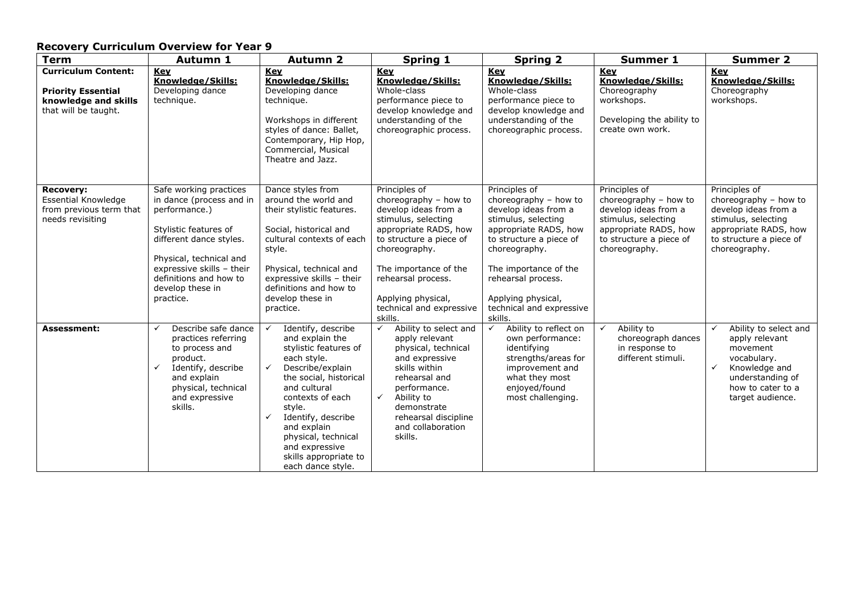| <b>Recovery Curriculum Overview for Year 9</b>                                                          |                                                                                                                                                                                                                                            |                                                                                                                                                                                                                                                                                                                                            |                                                                                                                                                                                                                                                                        |                                                                                                                                                                                                                                                                        |                                                                                                                                                            |                                                                                                                                                                                  |
|---------------------------------------------------------------------------------------------------------|--------------------------------------------------------------------------------------------------------------------------------------------------------------------------------------------------------------------------------------------|--------------------------------------------------------------------------------------------------------------------------------------------------------------------------------------------------------------------------------------------------------------------------------------------------------------------------------------------|------------------------------------------------------------------------------------------------------------------------------------------------------------------------------------------------------------------------------------------------------------------------|------------------------------------------------------------------------------------------------------------------------------------------------------------------------------------------------------------------------------------------------------------------------|------------------------------------------------------------------------------------------------------------------------------------------------------------|----------------------------------------------------------------------------------------------------------------------------------------------------------------------------------|
| <b>Term</b>                                                                                             | <b>Autumn 1</b>                                                                                                                                                                                                                            | <b>Autumn 2</b>                                                                                                                                                                                                                                                                                                                            | <b>Spring 1</b>                                                                                                                                                                                                                                                        | <b>Spring 2</b>                                                                                                                                                                                                                                                        | <b>Summer 1</b>                                                                                                                                            | <b>Summer 2</b>                                                                                                                                                                  |
| <b>Curriculum Content:</b><br><b>Priority Essential</b><br>knowledge and skills<br>that will be taught. | Key<br>Knowledge/Skills:<br>Developing dance<br>technique.                                                                                                                                                                                 | <b>Key</b><br>Knowledge/Skills:<br>Developing dance<br>technique.<br>Workshops in different<br>styles of dance: Ballet,<br>Contemporary, Hip Hop,<br>Commercial, Musical<br>Theatre and Jazz.                                                                                                                                              | Key<br>Knowledge/Skills:<br>Whole-class<br>performance piece to<br>develop knowledge and<br>understanding of the<br>choreographic process.                                                                                                                             | Key<br>Knowledge/Skills:<br>Whole-class<br>performance piece to<br>develop knowledge and<br>understanding of the<br>choreographic process.                                                                                                                             | <b>Key</b><br>Knowledge/Skills:<br>Choreography<br>workshops.<br>Developing the ability to<br>create own work.                                             | Key<br>Knowledge/Skills:<br>Choreography<br>workshops.                                                                                                                           |
| <b>Recovery:</b><br>Essential Knowledge<br>from previous term that<br>needs revisiting                  | Safe working practices<br>in dance (process and in<br>performance.)<br>Stylistic features of<br>different dance styles.<br>Physical, technical and<br>expressive skills - their<br>definitions and how to<br>develop these in<br>practice. | Dance styles from<br>around the world and<br>their stylistic features.<br>Social, historical and<br>cultural contexts of each<br>style.<br>Physical, technical and<br>expressive skills - their<br>definitions and how to<br>develop these in<br>practice.                                                                                 | Principles of<br>choreography - how to<br>develop ideas from a<br>stimulus, selecting<br>appropriate RADS, how<br>to structure a piece of<br>choreography.<br>The importance of the<br>rehearsal process.<br>Applying physical,<br>technical and expressive<br>skills. | Principles of<br>choreography - how to<br>develop ideas from a<br>stimulus, selecting<br>appropriate RADS, how<br>to structure a piece of<br>choreography.<br>The importance of the<br>rehearsal process.<br>Applying physical,<br>technical and expressive<br>skills. | Principles of<br>choreography - how to<br>develop ideas from a<br>stimulus, selecting<br>appropriate RADS, how<br>to structure a piece of<br>choreography. | Principles of<br>choreography - how to<br>develop ideas from a<br>stimulus, selecting<br>appropriate RADS, how<br>to structure a piece of<br>choreography.                       |
| Assessment:                                                                                             | Describe safe dance<br>$\checkmark$<br>practices referring<br>to process and<br>product.<br>$\checkmark$<br>Identify, describe<br>and explain<br>physical, technical<br>and expressive<br>skills.                                          | Identify, describe<br>✓<br>and explain the<br>stylistic features of<br>each style.<br>$\checkmark$<br>Describe/explain<br>the social, historical<br>and cultural<br>contexts of each<br>style.<br>$\checkmark$<br>Identify, describe<br>and explain<br>physical, technical<br>and expressive<br>skills appropriate to<br>each dance style. | Ability to select and<br>$\checkmark$<br>apply relevant<br>physical, technical<br>and expressive<br>skills within<br>rehearsal and<br>performance.<br>Ability to<br>✓<br>demonstrate<br>rehearsal discipline<br>and collaboration<br>skills.                           | Ability to reflect on<br>own performance:<br>identifying<br>strengths/areas for<br>improvement and<br>what they most<br>enjoyed/found<br>most challenging.                                                                                                             | Ability to<br>✓<br>choreograph dances<br>in response to<br>different stimuli.                                                                              | Ability to select and<br>$\checkmark$<br>apply relevant<br>movement<br>vocabulary.<br>$\checkmark$<br>Knowledge and<br>understanding of<br>how to cater to a<br>target audience. |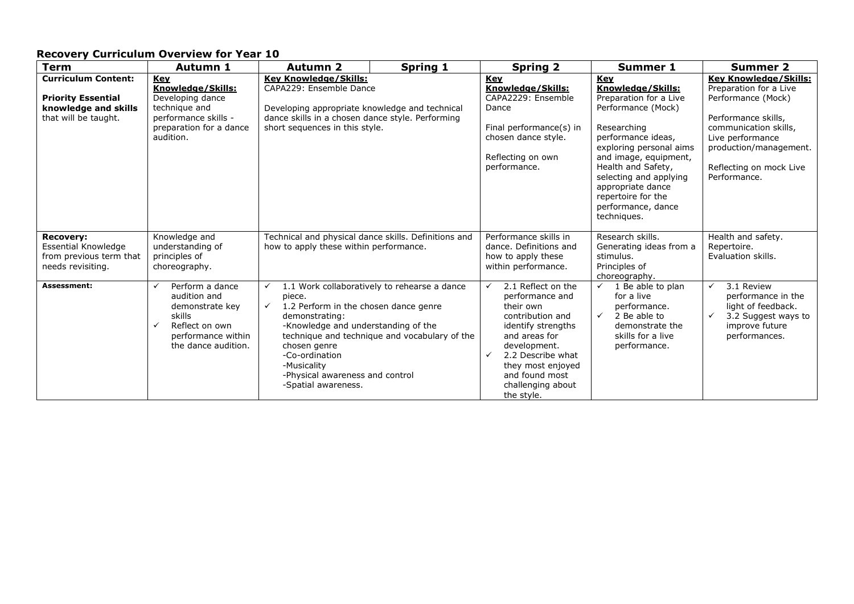| <b>Term</b>                                                                                             | <b>Autumn 1</b>                                                                                                                  | <b>Autumn 2</b>                                                                                                                                                                                                                                     | <b>Spring 1</b>                                                                               | <b>Spring 2</b>                                                                                                                                                                                                                                              | <b>Summer 1</b>                                                                                                                                                                                                                                                                                          | <b>Summer 2</b>                                                                                                                                                                                                       |
|---------------------------------------------------------------------------------------------------------|----------------------------------------------------------------------------------------------------------------------------------|-----------------------------------------------------------------------------------------------------------------------------------------------------------------------------------------------------------------------------------------------------|-----------------------------------------------------------------------------------------------|--------------------------------------------------------------------------------------------------------------------------------------------------------------------------------------------------------------------------------------------------------------|----------------------------------------------------------------------------------------------------------------------------------------------------------------------------------------------------------------------------------------------------------------------------------------------------------|-----------------------------------------------------------------------------------------------------------------------------------------------------------------------------------------------------------------------|
| <b>Curriculum Content:</b><br><b>Priority Essential</b><br>knowledge and skills<br>that will be taught. | Key<br>Knowledge/Skills:<br>Developing dance<br>technique and<br>performance skills -<br>preparation for a dance<br>audition.    | <b>Key Knowledge/Skills:</b><br>CAPA229: Ensemble Dance<br>Developing appropriate knowledge and technical<br>dance skills in a chosen dance style. Performing<br>short sequences in this style.                                                     |                                                                                               | <b>Key</b><br>Knowledge/Skills:<br>CAPA2229: Ensemble<br>Dance<br>Final performance(s) in<br>chosen dance style.<br>Reflecting on own<br>performance.                                                                                                        | <b>Key</b><br>Knowledge/Skills:<br>Preparation for a Live<br>Performance (Mock)<br>Researching<br>performance ideas,<br>exploring personal aims<br>and image, equipment,<br>Health and Safety,<br>selecting and applying<br>appropriate dance<br>repertoire for the<br>performance, dance<br>techniques. | <b>Key Knowledge/Skills:</b><br>Preparation for a Live<br>Performance (Mock)<br>Performance skills,<br>communication skills,<br>Live performance<br>production/management.<br>Reflecting on mock Live<br>Performance. |
| <b>Recovery:</b><br>Essential Knowledge<br>from previous term that<br>needs revisiting.                 | Knowledge and<br>understanding of<br>principles of<br>choreography.                                                              | Technical and physical dance skills. Definitions and<br>how to apply these within performance.                                                                                                                                                      |                                                                                               | Performance skills in<br>dance. Definitions and<br>how to apply these<br>within performance.                                                                                                                                                                 | Research skills.<br>Generating ideas from a<br>stimulus.<br>Principles of<br>choreography.                                                                                                                                                                                                               | Health and safety.<br>Repertoire.<br>Evaluation skills.                                                                                                                                                               |
| Assessment:                                                                                             | Perform a dance<br>audition and<br>demonstrate key<br>skills<br>Reflect on own<br>✓<br>performance within<br>the dance audition. | $\checkmark$<br>piece.<br>1.2 Perform in the chosen dance genre<br>$\checkmark$<br>demonstrating:<br>-Knowledge and understanding of the<br>chosen genre<br>-Co-ordination<br>-Musicality<br>-Physical awareness and control<br>-Spatial awareness. | 1.1 Work collaboratively to rehearse a dance<br>technique and technique and vocabulary of the | 2.1 Reflect on the<br>$\checkmark$<br>performance and<br>their own<br>contribution and<br>identify strengths<br>and areas for<br>development.<br>2.2 Describe what<br>$\checkmark$<br>they most enjoyed<br>and found most<br>challenging about<br>the style. | 1 Be able to plan<br>for a live<br>performance.<br>2 Be able to<br>$\checkmark$<br>demonstrate the<br>skills for a live<br>performance.                                                                                                                                                                  | 3.1 Review<br>performance in the<br>light of feedback.<br>3.2 Suggest ways to<br>$\checkmark$<br>improve future<br>performances.                                                                                      |